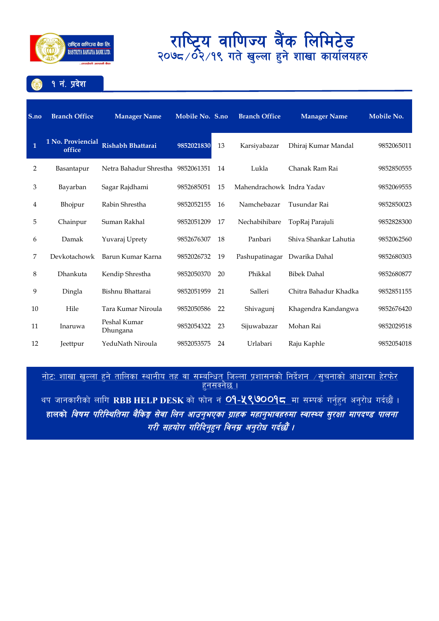

१ नं. प्रदेश

| S.no | <b>Branch Office</b>        | <b>Manager Name</b>               | Mobile No. S.no |    | <b>Branch Office</b>      | <b>Manager Name</b>   | Mobile No. |
|------|-----------------------------|-----------------------------------|-----------------|----|---------------------------|-----------------------|------------|
| 1    | 1 No. Proviencial<br>office | <b>Rishabh Bhattarai</b>          | 9852021830      | 13 | Karsiyabazar              | Dhiraj Kumar Mandal   | 9852065011 |
| 2    | Basantapur                  | Netra Bahadur Shrestha 9852061351 |                 | 14 | Lukla                     | Chanak Ram Rai        | 9852850555 |
| 3    | Bayarban                    | Sagar Rajdhami                    | 9852685051      | 15 | Mahendrachowk Indra Yaday |                       | 9852069555 |
| 4    | Bhojpur                     | Rabin Shrestha                    | 9852052155      | 16 | Namchebazar               | Tusundar Rai          | 9852850023 |
| 5    | Chainpur                    | Suman Rakhal                      | 9852051209      | 17 | Nechabihibare             | TopRaj Parajuli       | 9852828300 |
| 6    | Damak                       | Yuvaraj Uprety                    | 9852676307      | 18 | Panbari                   | Shiya Shankar Lahutia | 9852062560 |
| 7    | Devkotachowk                | Barun Kumar Karna                 | 9852026732      | 19 | Pashupatinagar            | Dwarika Dahal         | 9852680303 |
| 8    | Dhankuta                    | Kendip Shrestha                   | 9852050370      | 20 | Phikkal                   | <b>Bibek Dahal</b>    | 9852680877 |
| 9    | Dingla                      | Bishnu Bhattarai                  | 9852051959      | 21 | Salleri                   | Chitra Bahadur Khadka | 9852851155 |
| 10   | Hile                        | Tara Kumar Niroula                | 9852050586      | 22 | Shivagunj                 | Khagendra Kandangwa   | 9852676420 |
| 11   | Inaruwa                     | Peshal Kumar<br>Dhungana          | 9852054322      | 23 | Sijuwabazar               | Mohan Rai             | 9852029518 |
| 12   | Jeettpur                    | YeduNath Niroula                  | 9852053575      | 24 | Urlabari                  | Raju Kaphle           | 9852054018 |

<u>नाटः शाखा खुल्ला हुन ताालका स्थानाय तह वा सम्बान्धत् जिल्ला प्रशासनका निदशन ⁄सुचनाका आधारमा हरफर</u> । <u>हुनसक्नछ ।</u>

थप जानकारीको लागि RBB HELP DESK को फोन नं <mark>O9-<mark>५९७</mark>00<mark>9८</mark> मा सम्पर्क गर्नुहुन अनुरोध गर्दछौं ।</mark> हालको *विषम परिस्थितिमा बैकिङ्ग सेवा लिन आउनुभएका ग्राहक महानुभावहरुमा स्वास्थ्य सुरक्षा मापदण्ड पालना* गरी सहयोग गरिदिनुहुन विनम्र अनुरोध गर्दछौं ।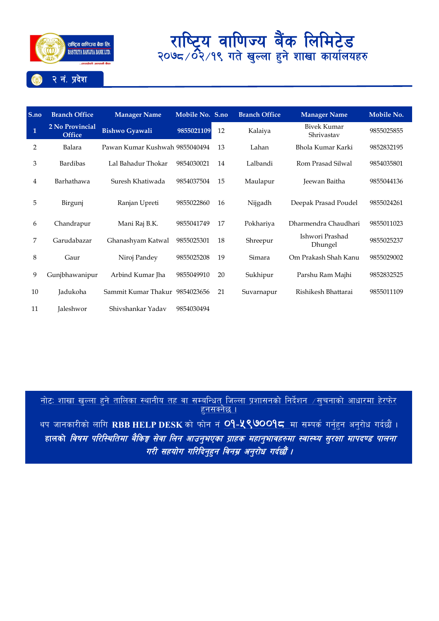

### **S.no Branch Office Manager Name Mobile No. S.no Branch Office Manager Name Mobile No. 1 2 No Provincial Dishwo Gyawali 9855021109** 12 Kalaiya Bivek Kumar Shrivastav <sup>9855025855</sup> 2 Balara Pawan Kumar Kushwah 9855040494 13 Lahan Bhola Kumar Karki 9852832195 3 Bardibas Lal Bahadur Thokar 9854030021 14 Lalbandi Rom Prasad Silwal 9854035801 4 Barhathawa Suresh Khatiwada 9854037504 15 Maulapur Jeewan Baitha 9855044136 5 Birgunj Ranjan Upreti 9855022860 16 Nijgadh Deepak Prasad Poudel 9855024261 6 Chandrapur Mani Raj B.K. 9855041749 17 Pokhariya Dharmendra Chaudhari 9855011023 <sup>7</sup> Garudabazar Ghanashyam Katwal <sup>9855025301</sup> <sup>18</sup> Shreepur Ishwori Prashad Dhungel <sup>9855025237</sup> 8 Gaur Niroj Pandey 9855025208 19 Simara Om Prakash Shah Kanu 9855029002 9 Gunjbhawanipur Arbind Kumar Jha 9855049910 20 Sukhipur Parshu Ram Majhi 9852832525 10 Jadukoha Sammit Kumar Thakur 9854023656 21 Suvarnapur Rishikesh Bhattarai 9855011109 11 Jaleshwor Shivshankar Yadav 9854030494

<u>नोटः शाखा खल्ला हने तालिका स्थानीय तह वा सम्बन्धित जिल्ला प्रशासनको निर्देशन ⁄सूचनाको आधारमा हेरफेर</u>  $\overline{\mathsf{g}}$ नसक्नेछ ।

थप जानकारीको लागि RBB HELP DESK को फोन नं **09-५९७009८** मा सम्पर्क गर्नुहन अनुरोध गर्दछौं । हालको *विषम परिस्थितिमा बैकिङ्ग सेवा लिन आउनुभएका ग्राहक महानुभावहरुमा स्वास्थ्य सुरक्षा मापदण्ड पालना* गरी सहयोग गरिदिन्**हन विनम्र अन्**रोध गर्दछौँ ।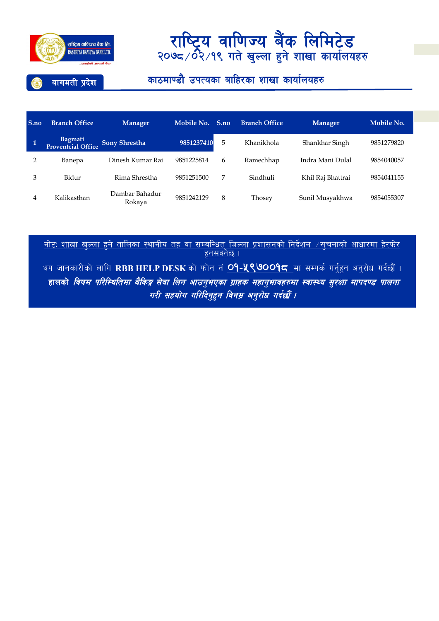

### बागमती प्रदेश

### काठमाण्डौ उपत्यका बाहिरका शाखा कार्यालयहरु

| S.no | <b>Branch Office</b>          | <b>Manager</b>           | Mobile No. | S.no | <b>Branch Office</b> | <b>Manager</b>    | Mobile No. |
|------|-------------------------------|--------------------------|------------|------|----------------------|-------------------|------------|
| 1    | Bagmati<br>Proventcial Office | <b>Sony Shrestha</b>     | 9851237410 | 5    | Khanikhola           | Shankhar Singh    | 9851279820 |
|      | Banepa                        | Dinesh Kumar Rai         | 9851225814 | 6    | Ramechhap            | Indra Mani Dulal  | 9854040057 |
| 3    | Bidur                         | Rima Shrestha            | 9851251500 | 7    | Sindhuli             | Khil Raj Bhattrai | 9854041155 |
| 4    | Kalikasthan                   | Dambar Bahadur<br>Rokava | 9851242129 | 8    | Thosey               | Sunil Musyakhwa   | 9854055307 |

<u>नाटः शाखा खुल्ला हुन ताालका स्थानाय तह वा सम्बान्धत् जिल्ला प्रशासनका ानदशन ⁄ सुचनाका आधारमा हरफर</u> । <u>हुनसक्नछ ।</u>

थप जानकारीको लागि RBB HELP DESK को फोन नं <mark>O9-५९७००१८</mark> मा सम्पर्क गर्नुहुन अनुरोध गर्दछौ । हालको *विषम परिस्थितिमा बैकिङ्ग सेवा लिन आउनुभएका ग्राहक महानुभावहरुमा स्वास्थ्य सुरक्षा मापदण्ड पालना* गरी सहयोग गरिदिनुहुन विनम्र अनुरोध गर्दछौं ।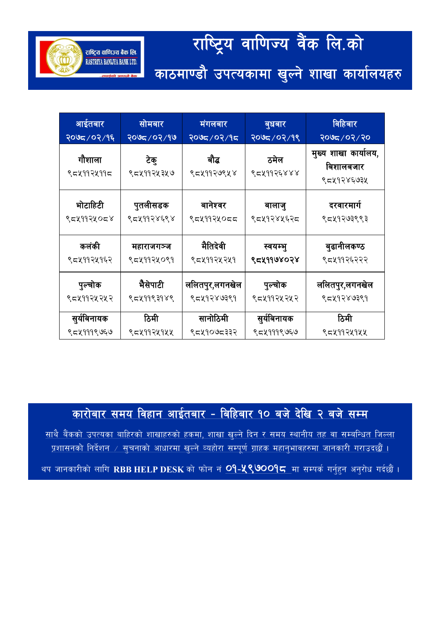# राष्ट्रिय वाणिज्य वैंक लि.को काठमाण्डौ उपत्यकामा खुल्ने शाखा कार्यालयहरु

राष्ट्रिय वाणिज्य बैंक लि. RASTRIYA BANLIYA BANK LTD.

| आईतबार               | <u>सोमबार</u>      | मंगलबार             | बुधबार             | विहिबार                                         |
|----------------------|--------------------|---------------------|--------------------|-------------------------------------------------|
| २०७८/०२/१६           | २०७८/०२/१७         | २०७८/०२/१८          | २०७८/०२/१९         | २०७८/०२/२०                                      |
| गौशाला<br>९८५११२५११८ | टेकु<br>९८५११२५३५७ | बौद्ध<br>९८५११२७९५४ | ठमेल<br>९८५११२६४४४ | मुख्य शाखा कार्यालय,<br>बिशालबजार<br>९८५१२४६७३५ |
| भोटाहिटी             | पुतलीसडक           | बानेश्वर            | बालाजु             | दरवारमार्ग                                      |
| ९८५११२५०८४           | ९८५११२४६९४         | ९८५११२५०८८          | ९८५१२४५६२८         | ९८५१२७३९९३                                      |
| कलंकी                | महाराजगञ्ज         | मैतिदेवी            | स्वयम्भु           | बुढानीलकण्ठ                                     |
| ९८५११२५१६२           | ९८५११२५०९१         | ९८५११२५२५१          | ९८४११७४०२४         | ९८५११२६२२२                                      |
| पुल्चोक              | भैसेपाटी           | ललितपुर,लगनखेल      | पुल्चोक            | ललितपुर,लगनखेल                                  |
| ९८४११२५२४२           | ९८५११९३१४९         | ९८५१२४७३९१          | ९८५११२५२५२         | ९८५१२४७३९१                                      |
| सुर्यविनायक          | ठिमी               | सानोठिमी            | सुर्यविनायक        | ठिमी                                            |
| ९८५१११९७६७           | ९८५११२५१५५         | ९८५१०७८३३२          | ९८५१११९७६७         | ९८५११२५१५५                                      |

<u>कारोबार समय विहान आईतबार - बिहिबार १० बजे देखि २ बजे सम्म</u>

साथै बैंकको उपत्यका बाहिरको शाखाहरुको हकमा, शाखा खल्ने दिन र समय स्थानीय तह वा सम्बन्धित जिल्ला <u>प्रशासनको निर्देशन / सुचनाको आधारमा खुल्ने व्यहोरा सम्पूर्ण ग्राहक महानुभावहरुमा जानकारी गराउदछौं ।</u>

थप जानकारीको लागि RBB HELP DESK को फोन नं <mark>O9-<mark>५९७</mark>00<mark>9⊂</mark> मा सम्पर्क गर्नुहुन अनुरोध गर्दछौं ।</mark>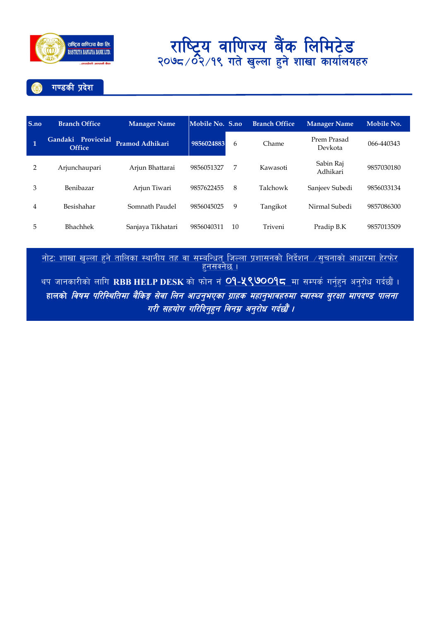

गण्डकी प्रदेश

| S.no           | <b>Branch Office</b>                | <b>Manager Name</b> | Mobile No. S.no |    | <b>Branch Office</b> | <b>Manager Name</b>    | Mobile No. |
|----------------|-------------------------------------|---------------------|-----------------|----|----------------------|------------------------|------------|
| $\mathbf{1}$   | Gandaki Proviceial<br><b>Office</b> | Pramod Adhikari     | 9856024883      | 6  | Chame                | Prem Prasad<br>Devkota | 066-440343 |
| $\overline{2}$ | Arjunchaupari                       | Arjun Bhattarai     | 9856051327      | 7  | Kawasoti             | Sabin Raj<br>Adhikari  | 9857030180 |
| 3              | Benibazar                           | Arjun Tiwari        | 9857622455      | 8  | Talchowk             | Sanjeev Subedi         | 9856033134 |
| 4              | Besishahar                          | Somnath Paudel      | 9856045025      | 9  | Tangikot             | Nirmal Subedi          | 9857086300 |
| 5              | <b>Bhachhek</b>                     | Sanjaya Tikhatari   | 9856040311      | 10 | Triveni              | Pradip B.K             | 9857013509 |

<u>नाटः शाखा खुल्ला हुन ताालका स्थानाय तह वा सम्बान्धत् जिल्ला प्रशासनका निदशन ⁄सुचनाका आधारमा हरफर</u> । <u>हुनसक्नछ ।</u>

थप जानकारीको लागि RBB HELP DESK को फोन नं <mark>O9-५९७OO9८</mark> मा सम्पर्क गर्नुहुन अनुरोध गर्दछौं । हालको *विषम परिस्थितिमा बैकिङ्ग सेवा लिन आउनुभएका ग्राहक महानुभावहरुमा स्वास्थ्य सुरक्षा मापदण्ड पालना* गरी सहयोग गरिदिनुहुन विनम्र अनुरोध गर्दछौं ।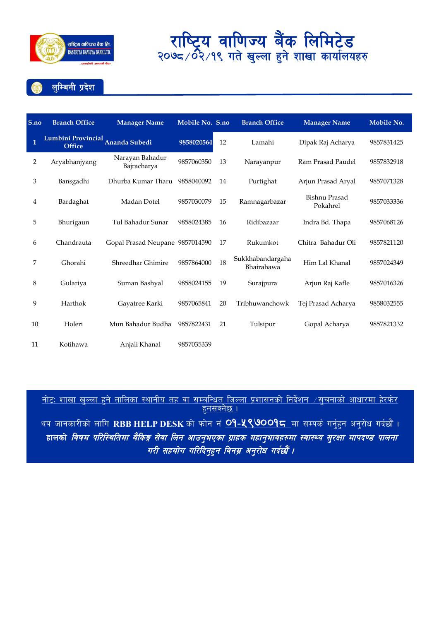

लुम्बिनी प्रदेश

| S.no         | <b>Branch Office</b>                | <b>Manager Name</b>             | Mobile No. S.no |    | <b>Branch Office</b>           | <b>Manager Name</b>              | Mobile No. |
|--------------|-------------------------------------|---------------------------------|-----------------|----|--------------------------------|----------------------------------|------------|
| $\mathbf{1}$ | Lumbini Provincial<br><b>Office</b> | Ananda Subedi                   | 9858020564      | 12 | Lamahi                         | Dipak Raj Acharya                | 9857831425 |
| 2            | Aryabhanjyang                       | Narayan Bahadur<br>Bajracharya  | 9857060350      | 13 | Narayanpur                     | Ram Prasad Paudel                | 9857832918 |
| 3            | Bansgadhi                           | Dhurba Kumar Tharu              | 9858040092      | 14 | Purtighat                      | Arjun Prasad Aryal               | 9857071328 |
| 4            | Bardaghat                           | Madan Dotel                     | 9857030079      | 15 | Ramnagarbazar                  | <b>Bishnu Prasad</b><br>Pokahrel | 9857033336 |
| 5            | Bhurigaun                           | Tul Bahadur Sunar               | 9858024385      | 16 | Ridibazaar                     | Indra Bd. Thapa                  | 9857068126 |
| 6            | Chandrauta                          | Gopal Prasad Neupane 9857014590 |                 | 17 | Rukumkot                       | Chitra Bahadur Oli               | 9857821120 |
| 7            | Ghorahi                             | Shreedhar Ghimire               | 9857864000      | 18 | Sukkhabandargaha<br>Bhairahawa | Him Lal Khanal                   | 9857024349 |
| 8            | Gulariya                            | Suman Bashyal                   | 9858024155      | 19 | Surajpura                      | Arjun Raj Kafle                  | 9857016326 |
| 9            | Harthok                             | Gayatree Karki                  | 9857065841      | 20 | Tribhuwanchowk                 | Tej Prasad Acharya               | 9858032555 |
| 10           | Holeri                              | Mun Bahadur Budha               | 9857822431      | 21 | Tulsipur                       | Gopal Acharya                    | 9857821332 |
| 11           | Kotihawa                            | Anjali Khanal                   | 9857035339      |    |                                |                                  |            |

<u>नोटः शाखा खल्ला हने तालिका स्थानीय तह वा सम्बन्धित जिल्ला प्रशासनको निर्देशन  $\neq$ सूचनाको आधारमा हेरफेर</u>  $\overline{\mathsf{g}}$ नसक्नेछ ।

थप जानकारीको लागि RBB HELP DESK को फोन नं <mark>O9-५९७००१८</mark> मा सम्पर्क गर्नुहन अनुरोध गर्दछौं । हालको *विषम परिस्थितिमा बैकिङ्ग सेवा लिन आउनुभएका ग्राहक महानुभावहरुमा स्वास्थ्य सुरक्षा मापदण्ड पालना* गरी सहयोग गरिदिनुहुन विनम्र अनुरोध गर्दछौं ।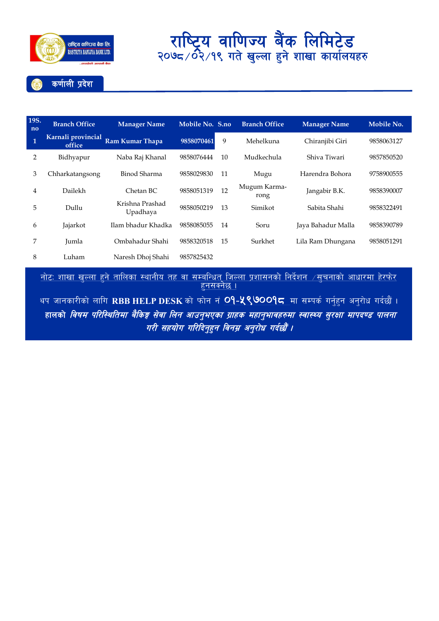

#### कर्णाली प्रदेश

| 19S.<br>no     | <b>Branch Office</b>         | <b>Manager Name</b>         | Mobile No. S.no |    | <b>Branch Office</b> | <b>Manager Name</b> | Mobile No. |
|----------------|------------------------------|-----------------------------|-----------------|----|----------------------|---------------------|------------|
| $\overline{1}$ | Karnali provincial<br>office | Ram Kumar Thapa             | 9858070461      | 9  | Mehelkuna            | Chiranjibi Giri     | 9858063127 |
| 2              | Bidhyapur                    | Naba Raj Khanal             | 9858076444      | 10 | Mudkechula           | Shiva Tiwari        | 9857850520 |
| 3              | Chharkatangsong              | Binod Sharma                | 9858029830      | 11 | Mugu                 | Harendra Bohora     | 9758900555 |
| 4              | Dailekh                      | Chetan BC                   | 9858051319      | 12 | Mugum Karma-<br>rong | Jangabir B.K.       | 9858390007 |
| 5              | Dullu                        | Krishna Prashad<br>Upadhaya | 9858050219      | 13 | Simikot              | Sabita Shahi        | 9858322491 |
| 6              | Jajarkot                     | Ilam bhadur Khadka          | 9858085055      | 14 | Soru                 | Jaya Bahadur Malla  | 9858390789 |
| 7              | Jumla                        | Ombahadur Shahi             | 9858320518      | 15 | Surkhet              | Lila Ram Dhungana   | 9858051291 |
| 8              | Luham                        | Naresh Dhoj Shahi           | 9857825432      |    |                      |                     |            |

<u>नाटः शाखा खुल्ला हुन तालिका स्थानाय तह वा सम्बान्धत जिल्ला प्रशासनका निदेशन ⁄सुचनाका आधारमा हरफर </u> <u>हुनसक्नछ ।</u>

थप जानकारीको लागि RBB HELP DESK को फोन नं <mark>O9-<mark>५९७</mark>00<mark>9८</mark> मा सम्पर्क गर्नुहुन अनुरोध गर्दछौं ।</mark> हालको *विषम परिस्थितिमा बैकिङ्ग सेवा लिन आउनुभएका ग्राहक महानुभावहरुमा स्वास्थ्य सुरक्षा मापदण्ड पालना* गरी सहयोग गरिदिनुहुन विनम्र अनुरोध गर्दछौं ।